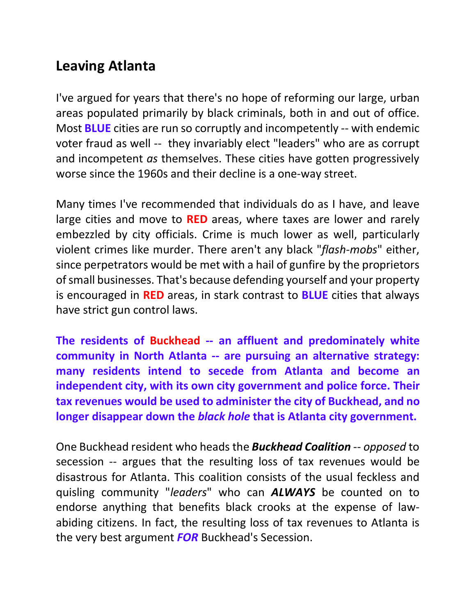## **Leaving Atlanta**

I've argued for years that there's no hope of reforming our large, urban areas populated primarily by black criminals, both in and out of office. Most **BLUE** cities are run so corruptly and incompetently -- with endemic voter fraud as well -- they invariably elect "leaders" who are as corrupt and incompetent *as* themselves. These cities have gotten progressively worse since the 1960s and their decline is a one-way street.

Many times I've recommended that individuals do as I have, and leave large cities and move to **RED** areas, where taxes are lower and rarely embezzled by city officials. Crime is much lower as well, particularly violent crimes like murder. There aren't any black "*flash-mobs*" either, since perpetrators would be met with a hail of gunfire by the proprietors of small businesses. That's because defending yourself and your property is encouraged in **RED** areas, in stark contrast to **BLUE** cities that always have strict gun control laws.

**The residents of Buckhead -- an affluent and predominately white community in North Atlanta -- are pursuing an alternative strategy: many residents intend to secede from Atlanta and become an independent city, with its own city government and police force. Their tax revenues would be used to administer the city of Buckhead, and no longer disappear down the** *black hole* **that is Atlanta city government.**

One Buckhead resident who heads the *Buckhead Coalition* -- *opposed* to secession -- argues that the resulting loss of tax revenues would be disastrous for Atlanta. This coalition consists of the usual feckless and quisling community "*leaders*" who can *ALWAYS* be counted on to endorse anything that benefits black crooks at the expense of lawabiding citizens. In fact, the resulting loss of tax revenues to Atlanta is the very best argument *FOR* Buckhead's Secession.